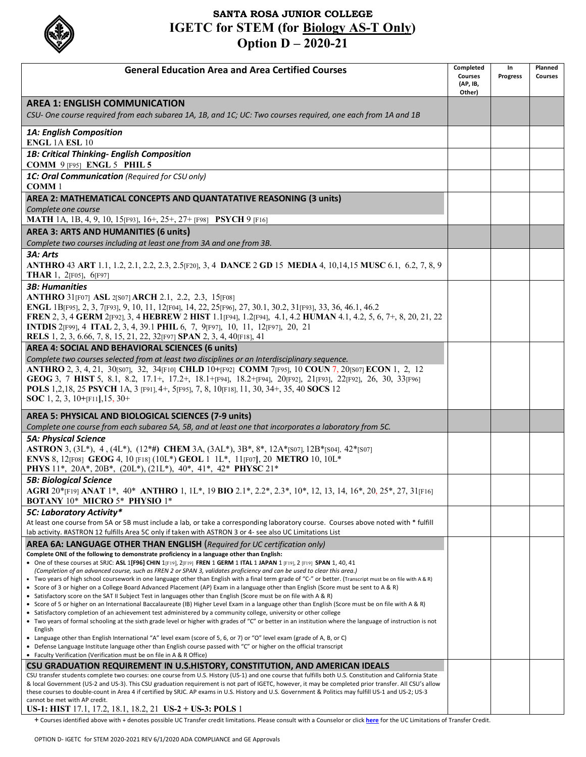

## **SANTA ROSA JUNIOR COLLEGE IGETC for STEM (for Biology AS-T Only) Option D – 2020-21**

| <b>General Education Area and Area Certified Courses</b>                                                                                                                                                                                                                                                                                                                                                                                                                                                          | Completed<br><b>Courses</b><br>(AP, IB,<br>Other) | In<br><b>Progress</b> | Planned<br><b>Courses</b> |
|-------------------------------------------------------------------------------------------------------------------------------------------------------------------------------------------------------------------------------------------------------------------------------------------------------------------------------------------------------------------------------------------------------------------------------------------------------------------------------------------------------------------|---------------------------------------------------|-----------------------|---------------------------|
| <b>AREA 1: ENGLISH COMMUNICATION</b>                                                                                                                                                                                                                                                                                                                                                                                                                                                                              |                                                   |                       |                           |
| CSU- One course required from each subarea 1A, 1B, and 1C; UC: Two courses required, one each from 1A and 1B                                                                                                                                                                                                                                                                                                                                                                                                      |                                                   |                       |                           |
| 1A: English Composition<br><b>ENGL 1A ESL 10</b>                                                                                                                                                                                                                                                                                                                                                                                                                                                                  |                                                   |                       |                           |
| 1B: Critical Thinking- English Composition<br><b>COMM 9 [F95] ENGL 5 PHIL 5</b>                                                                                                                                                                                                                                                                                                                                                                                                                                   |                                                   |                       |                           |
| 1C: Oral Communication (Required for CSU only)<br><b>COMM1</b>                                                                                                                                                                                                                                                                                                                                                                                                                                                    |                                                   |                       |                           |
| AREA 2: MATHEMATICAL CONCEPTS AND QUANTATATIVE REASONING (3 units)<br>Complete one course                                                                                                                                                                                                                                                                                                                                                                                                                         |                                                   |                       |                           |
| MATH 1A, 1B, 4, 9, 10, 15[F93], 16+, 25+, 27+ [F98] PSYCH 9 [F16]                                                                                                                                                                                                                                                                                                                                                                                                                                                 |                                                   |                       |                           |
| AREA 3: ARTS AND HUMANITIES (6 units)<br>Complete two courses including at least one from 3A and one from 3B.                                                                                                                                                                                                                                                                                                                                                                                                     |                                                   |                       |                           |
| 3A: Arts                                                                                                                                                                                                                                                                                                                                                                                                                                                                                                          |                                                   |                       |                           |
| ANTHRO 43 ART 1.1, 1.2, 2.1, 2.2, 2.3, 2.5 [F20], 3, 4 DANCE 2 GD 15 MEDIA 4, 10, 14, 15 MUSC 6.1, 6.2, 7, 8, 9<br><b>THAR</b> 1, 2 $[F05]$ , 6 $[F97]$                                                                                                                                                                                                                                                                                                                                                           |                                                   |                       |                           |
| <b>3B: Humanities</b><br>ANTHRO 31[F07] ASL 2[S07] ARCH 2.1, 2.2, 2.3, 15[F08]<br>ENGL 1B[F95], 2, 3, 7[F93], 9, 10, 11, 12[F04], 14, 22, 25[F96], 27, 30.1, 30.2, 31[F93], 33, 36, 46.1, 46.2<br>FREN 2, 3, 4 GERM 2[F92], 3, 4 HEBREW 2 HIST 1.1[F94], 1.2[F94], 4.1, 4.2 HUMAN 4.1, 4.2, 5, 6, 7+, 8, 20, 21, 22<br>INTDIS 2[F99], 4 ITAL 2, 3, 4, 39.1 PHIL 6, 7, 9[F97], 10, 11, 12[F97], 20, 21<br>RELS 1, 2, 3, 6.66, 7, 8, 15, 21, 22, 32[F97] SPAN 2, 3, 4, 40[F18], 41                                  |                                                   |                       |                           |
| AREA 4: SOCIAL AND BEHAVIORAL SCIENCES (6 units)                                                                                                                                                                                                                                                                                                                                                                                                                                                                  |                                                   |                       |                           |
| Complete two courses selected from at least two disciplines or an Interdisciplinary sequence.<br>ANTHRO 2, 3, 4, 21, 30[S07], 32, 34[F10] CHLD 10+[F92] COMM 7[F95], 10 COUN 7, 20[S07] ECON 1, 2, 12<br>GEOG 3, 7 HIST 5, 8.1, 8.2, 17.1+, 17.2+, 18.1+[F94], 18.2+[F94], 20[F92], 21[F93], 22[F92], 26, 30, 33[F96]<br>POLS 1,2,18, 25 PSYCH 1A, 3 [F91], 4+, 5[F95], 7, 8, 10[F18], 11, 30, 34+, 35, 40 SOCS 12<br><b>SOC</b> 1, 2, 3, 10+ $[FI1]$ , 15, 30+                                                   |                                                   |                       |                           |
| AREA 5: PHYSICAL AND BIOLOGICAL SCIENCES (7-9 units)<br>Complete one course from each subarea 5A, 5B, and at least one that incorporates a laboratory from 5C.                                                                                                                                                                                                                                                                                                                                                    |                                                   |                       |                           |
| <b>5A: Physical Science</b>                                                                                                                                                                                                                                                                                                                                                                                                                                                                                       |                                                   |                       |                           |
| ASTRON 3, (3L*), 4, (4L*), (12*#) CHEM 3A, (3AL*), 3B*, 8*, 12A*[S07], 12B*[S04], 42*[S07]<br>ENVS 8, 12[F08] GEOG 4, 10 [F18] (10L*) GEOL 1 1L*, 11[F07], 20 METRO 10, 10L*<br>PHYS 11*, 20A*, 20B*, (20L*), (21L*), 40*, 41*, 42* PHYSC 21*                                                                                                                                                                                                                                                                     |                                                   |                       |                           |
| <b>5B: Biological Science</b><br>AGRI 20*[F19] ANAT 1*, 40* ANTHRO 1, 1L*, 19 BIO 2.1*, 2.2*, 2.3*, 10*, 12, 13, 14, 16*, 20, 25*, 27, 31[F16]<br>BOTANY 10* MICRO 5* PHYSIO 1*                                                                                                                                                                                                                                                                                                                                   |                                                   |                       |                           |
| 5C: Laboratory Activity*                                                                                                                                                                                                                                                                                                                                                                                                                                                                                          |                                                   |                       |                           |
| At least one course from 5A or 5B must include a lab, or take a corresponding laboratory course. Courses above noted with * fulfill<br>lab activity. #ASTRON 12 fulfills Area 5C only if taken with ASTRON 3 or 4- see also UC Limitations List                                                                                                                                                                                                                                                                   |                                                   |                       |                           |
| <b>AREA 6A: LANGUAGE OTHER THAN ENGLISH</b> (Required for UC certification only)                                                                                                                                                                                                                                                                                                                                                                                                                                  |                                                   |                       |                           |
| Complete ONE of the following to demonstrate proficiency in a language other than English:<br>• One of these courses at SRJC: ASL 1[F96] CHIN 1[F19], 2[F19] FREN 1 GERM 1 ITAL 1 JAPAN 1 [F19], 2 [F19] SPAN 1, 40, 41<br>(Completion of an advanced course, such as FREN 2 or SPAN 3, validates proficiency and can be used to clear this area.)<br>• Two years of high school coursework in one language other than English with a final term grade of "C-" or better. (Transcript must be on file with A & R) |                                                   |                       |                           |
| • Score of 3 or higher on a College Board Advanced Placement (AP) Exam in a language other than English (Score must be sent to A & R)<br>• Satisfactory score on the SAT II Subject Test in languages other than English (Score must be on file with A & R)<br>• Score of 5 or higher on an International Baccalaureate (IB) Higher Level Exam in a language other than English (Score must be on file with A & R)                                                                                                |                                                   |                       |                           |
| • Satisfactory completion of an achievement test administered by a community college, university or other college<br>• Two years of formal schooling at the sixth grade level or higher with grades of "C" or better in an institution where the language of instruction is not<br>English                                                                                                                                                                                                                        |                                                   |                       |                           |
| • Language other than English International "A" level exam (score of 5, 6, or 7) or "O" level exam (grade of A, B, or C)<br>• Defense Language Institute language other than English course passed with "C" or higher on the official transcript<br>• Faculty Verification (Verification must be on file in A & R Office)                                                                                                                                                                                         |                                                   |                       |                           |
| CSU GRADUATION REQUIREMENT IN U.S.HISTORY, CONSTITUTION, AND AMERICAN IDEALS                                                                                                                                                                                                                                                                                                                                                                                                                                      |                                                   |                       |                           |
| CSU transfer students complete two courses: one course from U.S. History (US-1) and one course that fulfills both U.S. Constitution and California State<br>& local Government (US-2 and US-3). This CSU graduation requirement is not part of IGETC, however, it may be completed prior transfer. All CSU's allow<br>these courses to double-count in Area 4 if certified by SRJC. AP exams in U.S. History and U.S. Government & Politics may fulfill US-1 and US-2; US-3                                       |                                                   |                       |                           |
| cannot be met with AP credit.<br><b>US-1: HIST</b> 17.1, 17.2, 18.1, 18.2, 21 <b>US-2</b> + <b>US-3: POLS</b> 1                                                                                                                                                                                                                                                                                                                                                                                                   |                                                   |                       |                           |

+ Courses identified above with + denotes possible UC Transfer credit limitations. Please consult with a Counselor or click **[here](https://articulation.santarosa.edu/sites/articulation.santarosa.edu/files/UC%20TCA%20Limitations%20on%20Transfer%20Credit%2016-17%20REV%209.7.16.pdf)** for the UC Limitations of Transfer Credit.